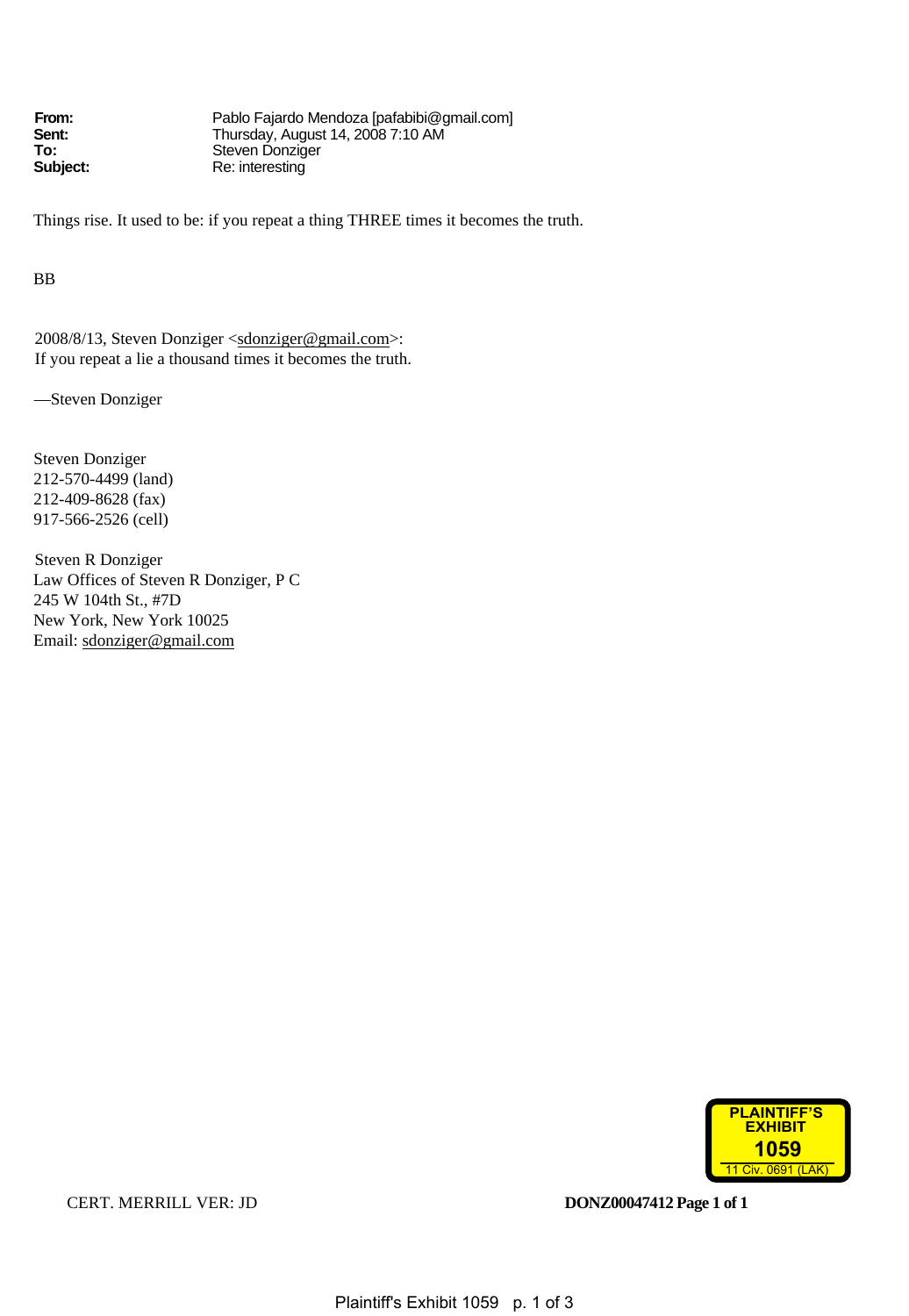**From:** Pablo Fajardo Mendoza [pafabibi@gmail.com]<br> **Sent:** Thursday, August 14, 2008 7:10 AM **Sent:** Thursday, August 14, 2008 7:10 AM **To:** Steven Donziger<br>
Subject: Re: interesting **Subject:** Re: interesting

Things rise. It used to be: if you repeat a thing THREE times it becomes the truth.

BB

2008/8/13, Steven Donziger <sdonziger@gmail.com>: If you repeat a lie a thousand times it becomes the truth.

—Steven Donziger

Steven Donziger 212-570-4499 (land) 212-409-8628 (fax) 917-566-2526 (cell)

Steven R Donziger Law Offices of Steven R Donziger, P C 245 W 104th St., #7D New York, New York 10025 Email: sdonziger@gmail.com



CERT. MERRILL VER: JD **DONZ00047412 Page 1 of 1**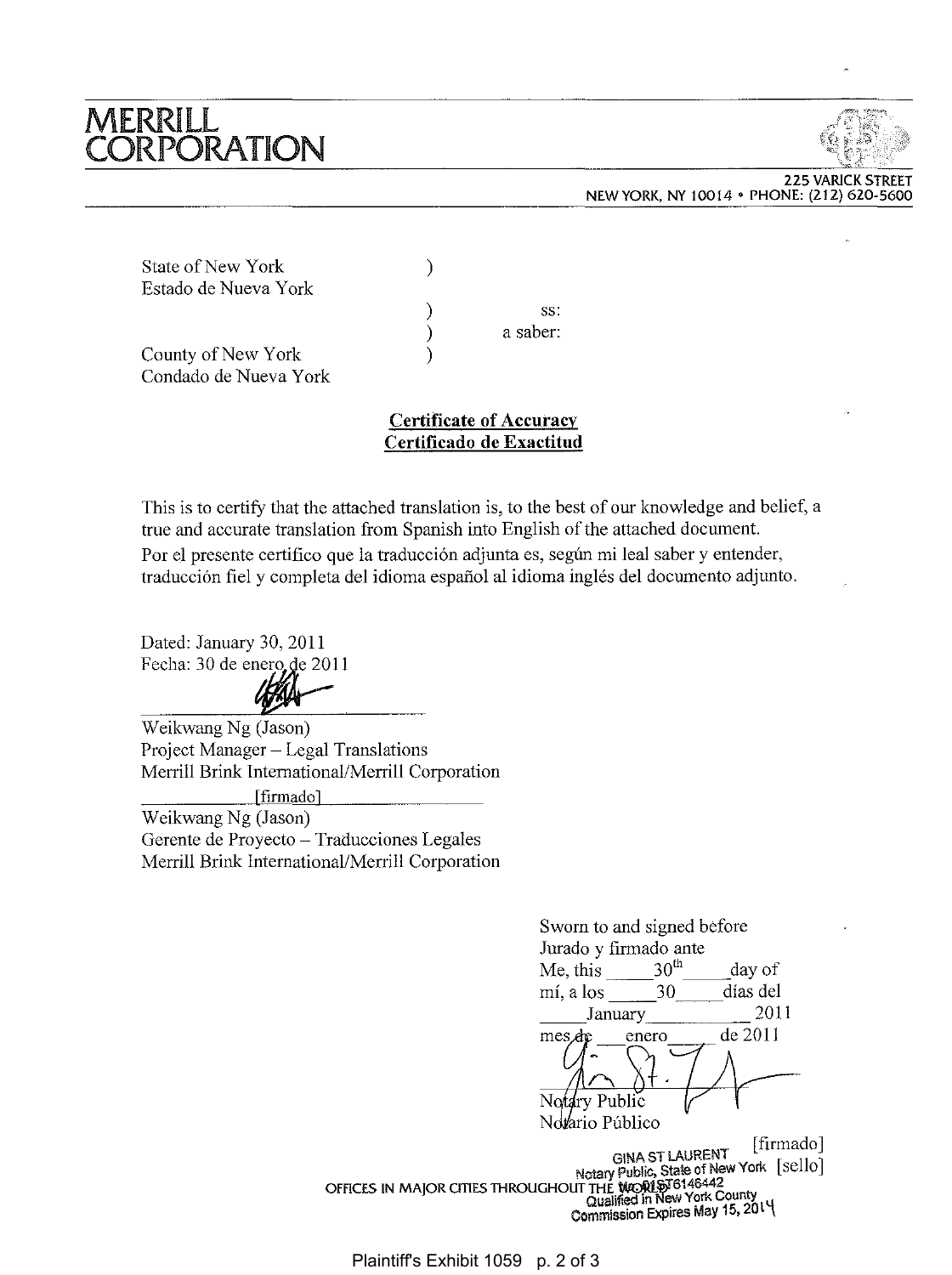## **MERRILL** CORPORATION



225 VARICK STREET NEW YORK, NY 10014 • PHONE: (212) 620-5600 NEW YORK, NY • PHONE: (212)

|                       |          | NEW YORK, NY 10014 . PHONE: (212) 620-5600 |
|-----------------------|----------|--------------------------------------------|
|                       |          |                                            |
|                       |          | $\mathcal{A}$ .                            |
| State of New York     |          |                                            |
| Estado de Nueva York  |          |                                            |
|                       | SS.      |                                            |
|                       | a saber: |                                            |
| County of New York    |          |                                            |
| Condado de Nueva York |          |                                            |

## **Certificate of Accuracy Certificado de Exactitud**

This is to certify that the attached translation is, to the best of our knowledge and belief, a true and accurate translation from Spanish into English of the attached document. Por el presente certifico que la traducción adjunta es, según mi leal saber y entender, traducción fiel y completa del idioma español al idioma inglés del documento adjunto. true and accurate translation from Spanish into English of Por el presente certifico que la traducción adjunta es, según<br>traducción fiel y completa del idioma español al idioma inq<br>Dated: January 30, 2011

Dated: January 30, 2011 Fecha: 30 de enero de 2011



Weikwang Ng (Jason) Project Manager - Legal Translations Merrill Brink International/Merrill Corporation [firmado] Weikwang Ng (Jason) Gerente de Proyecto - Traducciones Legales Merrill Brink International/Merrill Corporation Fecha: 30 de enero de 2011<br>
Weikwang Ng (Jason)<br>
Project Manager – Legal Translations<br>
Merrill Brink International/Merrill Corporation<br>
(Generate de Proyecto – Traducciones Legales<br>
Merrill Brink International/Merrill Cor

|                                                       | Sworn to and signed before                                                                |                                                       |  |  |
|-------------------------------------------------------|-------------------------------------------------------------------------------------------|-------------------------------------------------------|--|--|
|                                                       | Jurado y firmado ante                                                                     |                                                       |  |  |
| Me, this                                              | 30 <sup>th</sup>                                                                          | day of                                                |  |  |
| mí, a los                                             | 30                                                                                        | días del                                              |  |  |
|                                                       | January                                                                                   | 2011                                                  |  |  |
| mes de                                                | enero                                                                                     | de 2011                                               |  |  |
| Notary Public                                         |                                                                                           |                                                       |  |  |
| Notario Público                                       |                                                                                           |                                                       |  |  |
| OFFICES IN MAJOR CITIES THROUGHOUT THE WORL ST6146442 | <b>GINA ST LAURENT</b><br>Qualified in New York County<br>Commission Expires May 15, 2014 | [firmado]<br>Notary Public, State of New York [sello] |  |  |